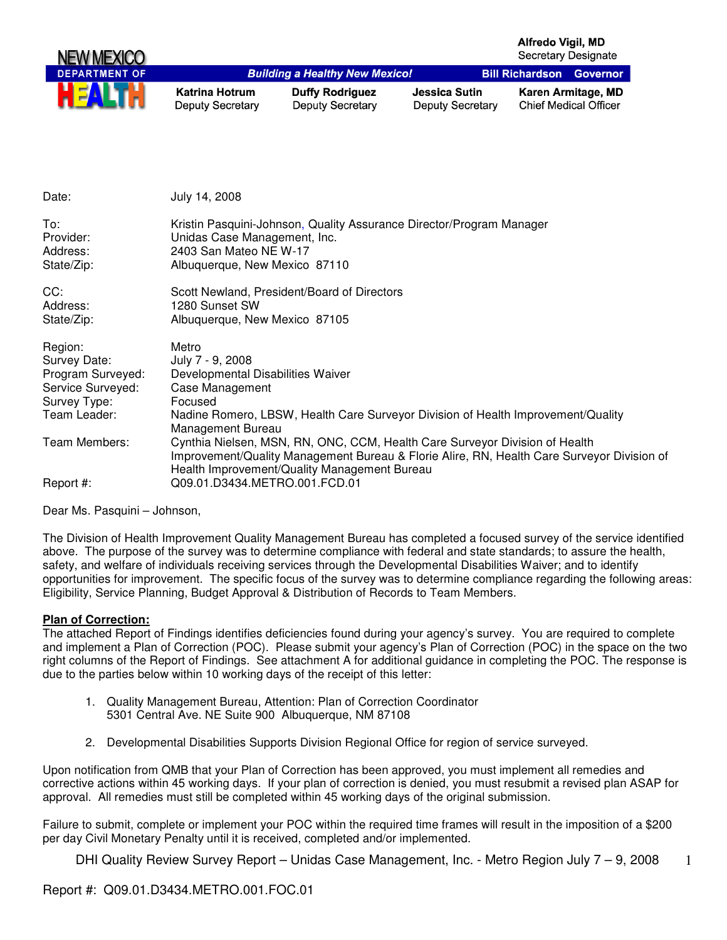| NEW MEXICO           |                                           |                                                   |                                          | Alfredo Vigil, MD               | <b>Secretary Designate</b>                         |
|----------------------|-------------------------------------------|---------------------------------------------------|------------------------------------------|---------------------------------|----------------------------------------------------|
| <b>DEPARTMENT OF</b> |                                           | <b>Building a Healthy New Mexico!</b>             |                                          | <b>Bill Richardson Governor</b> |                                                    |
| <b>HEALTH</b>        | Katrina Hotrum<br><b>Deputy Secretary</b> | <b>Duffy Rodriguez</b><br><b>Deputy Secretary</b> | Jessica Sutin<br><b>Deputy Secretary</b> |                                 | Karen Armitage, MD<br><b>Chief Medical Officer</b> |

| Date:                                                                                             | July 14, 2008                                                                                                                                                                                                                                              |
|---------------------------------------------------------------------------------------------------|------------------------------------------------------------------------------------------------------------------------------------------------------------------------------------------------------------------------------------------------------------|
| To:<br>Provider:<br>Address:<br>State/Zip:                                                        | Kristin Pasquini-Johnson, Quality Assurance Director/Program Manager<br>Unidas Case Management, Inc.<br>2403 San Mateo NE W-17<br>Albuquerque, New Mexico 87110                                                                                            |
| CC:<br>Address:<br>State/Zip:                                                                     | Scott Newland, President/Board of Directors<br>1280 Sunset SW<br>Albuquerque, New Mexico 87105                                                                                                                                                             |
| Region:<br>Survey Date:<br>Program Surveyed:<br>Service Surveyed:<br>Survey Type:<br>Team Leader: | Metro<br>July 7 - 9, 2008<br>Developmental Disabilities Waiver<br>Case Management<br>Focused<br>Nadine Romero, LBSW, Health Care Surveyor Division of Health Improvement/Quality<br>Management Bureau                                                      |
| Team Members:<br>Report #:                                                                        | Cynthia Nielsen, MSN, RN, ONC, CCM, Health Care Surveyor Division of Health<br>Improvement/Quality Management Bureau & Florie Alire, RN, Health Care Surveyor Division of<br>Health Improvement/Quality Management Bureau<br>Q09.01.D3434.METRO.001.FCD.01 |

Dear Ms. Pasquini – Johnson,

The Division of Health Improvement Quality Management Bureau has completed a focused survey of the service identified above. The purpose of the survey was to determine compliance with federal and state standards; to assure the health, safety, and welfare of individuals receiving services through the Developmental Disabilities Waiver; and to identify opportunities for improvement. The specific focus of the survey was to determine compliance regarding the following areas: Eligibility, Service Planning, Budget Approval & Distribution of Records to Team Members.

#### **Plan of Correction:**

The attached Report of Findings identifies deficiencies found during your agency's survey. You are required to complete and implement a Plan of Correction (POC). Please submit your agency's Plan of Correction (POC) in the space on the two right columns of the Report of Findings. See attachment A for additional guidance in completing the POC. The response is due to the parties below within 10 working days of the receipt of this letter:

- 1. Quality Management Bureau, Attention: Plan of Correction Coordinator 5301 Central Ave. NE Suite 900 Albuquerque, NM 87108
- 2. Developmental Disabilities Supports Division Regional Office for region of service surveyed.

Upon notification from QMB that your Plan of Correction has been approved, you must implement all remedies and corrective actions within 45 working days. If your plan of correction is denied, you must resubmit a revised plan ASAP for approval. All remedies must still be completed within 45 working days of the original submission.

Failure to submit, complete or implement your POC within the required time frames will result in the imposition of a \$200 per day Civil Monetary Penalty until it is received, completed and/or implemented.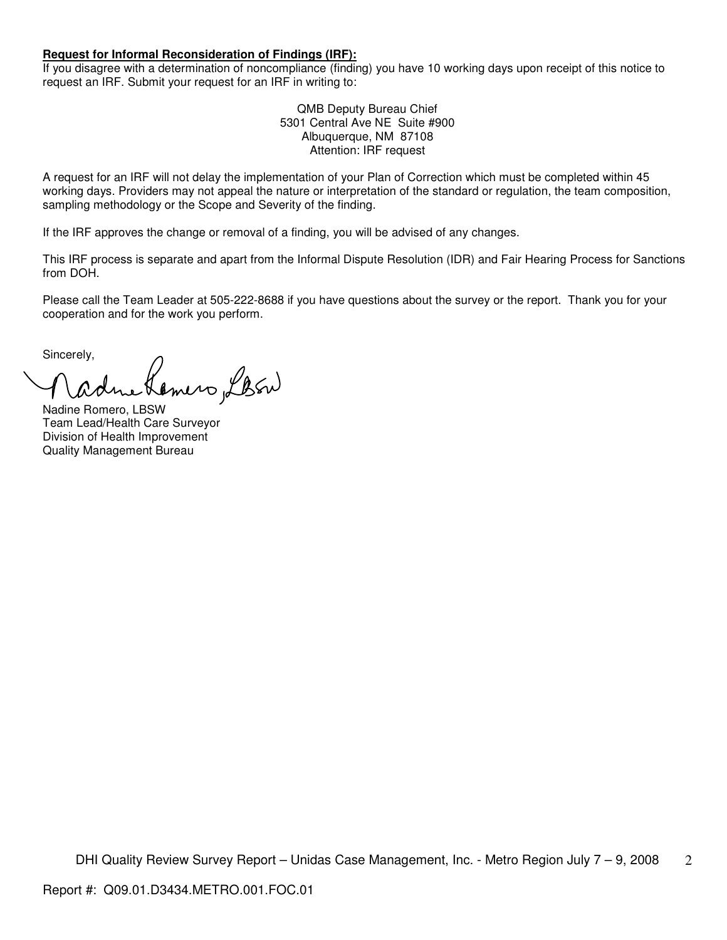#### **Request for Informal Reconsideration of Findings (IRF):**

If you disagree with a determination of noncompliance (finding) you have 10 working days upon receipt of this notice to request an IRF. Submit your request for an IRF in writing to:

> QMB Deputy Bureau Chief 5301 Central Ave NE Suite #900 Albuquerque, NM 87108 Attention: IRF request

A request for an IRF will not delay the implementation of your Plan of Correction which must be completed within 45 working days. Providers may not appeal the nature or interpretation of the standard or regulation, the team composition, sampling methodology or the Scope and Severity of the finding.

If the IRF approves the change or removal of a finding, you will be advised of any changes.

This IRF process is separate and apart from the Informal Dispute Resolution (IDR) and Fair Hearing Process for Sanctions from DOH.

Please call the Team Leader at 505-222-8688 if you have questions about the survey or the report. Thank you for your cooperation and for the work you perform.

Sincerely,

Comero LBEN

Nadine Romero, LBSW Team Lead/Health Care Surveyor Division of Health Improvement Quality Management Bureau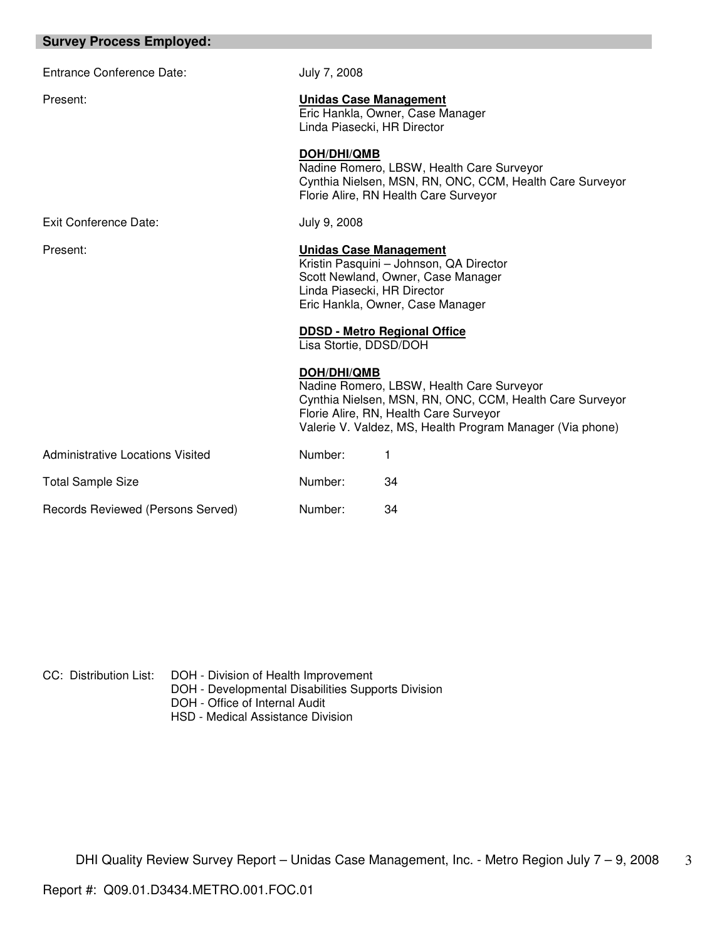| <b>Survey Process Employed:</b>         |                                                                                                                                                                                   |                                                                                                                                                                                                              |
|-----------------------------------------|-----------------------------------------------------------------------------------------------------------------------------------------------------------------------------------|--------------------------------------------------------------------------------------------------------------------------------------------------------------------------------------------------------------|
| <b>Entrance Conference Date:</b>        | July 7, 2008                                                                                                                                                                      |                                                                                                                                                                                                              |
| Present:                                | <b>Unidas Case Management</b><br>Linda Piasecki, HR Director                                                                                                                      | Eric Hankla, Owner, Case Manager                                                                                                                                                                             |
|                                         | <b>DOH/DHI/QMB</b>                                                                                                                                                                | Nadine Romero, LBSW, Health Care Surveyor<br>Cynthia Nielsen, MSN, RN, ONC, CCM, Health Care Surveyor<br>Florie Alire, RN Health Care Surveyor                                                               |
| Exit Conference Date:                   | July 9, 2008                                                                                                                                                                      |                                                                                                                                                                                                              |
| Present:                                | <b>Unidas Case Management</b><br>Kristin Pasquini - Johnson, QA Director<br>Scott Newland, Owner, Case Manager<br>Linda Piasecki, HR Director<br>Eric Hankla, Owner, Case Manager |                                                                                                                                                                                                              |
|                                         | Lisa Stortie, DDSD/DOH                                                                                                                                                            | <b>DDSD - Metro Regional Office</b>                                                                                                                                                                          |
|                                         | <b>DOH/DHI/QMB</b>                                                                                                                                                                | Nadine Romero, LBSW, Health Care Surveyor<br>Cynthia Nielsen, MSN, RN, ONC, CCM, Health Care Surveyor<br>Florie Alire, RN, Health Care Surveyor<br>Valerie V. Valdez, MS, Health Program Manager (Via phone) |
| <b>Administrative Locations Visited</b> | Number:                                                                                                                                                                           | 1                                                                                                                                                                                                            |
| <b>Total Sample Size</b>                | Number:                                                                                                                                                                           | 34                                                                                                                                                                                                           |
| Records Reviewed (Persons Served)       | Number:                                                                                                                                                                           | 34                                                                                                                                                                                                           |

CC: Distribution List: DOH - Division of Health Improvement

- DOH Developmental Disabilities Supports Division
- DOH Office of Internal Audit
- HSD Medical Assistance Division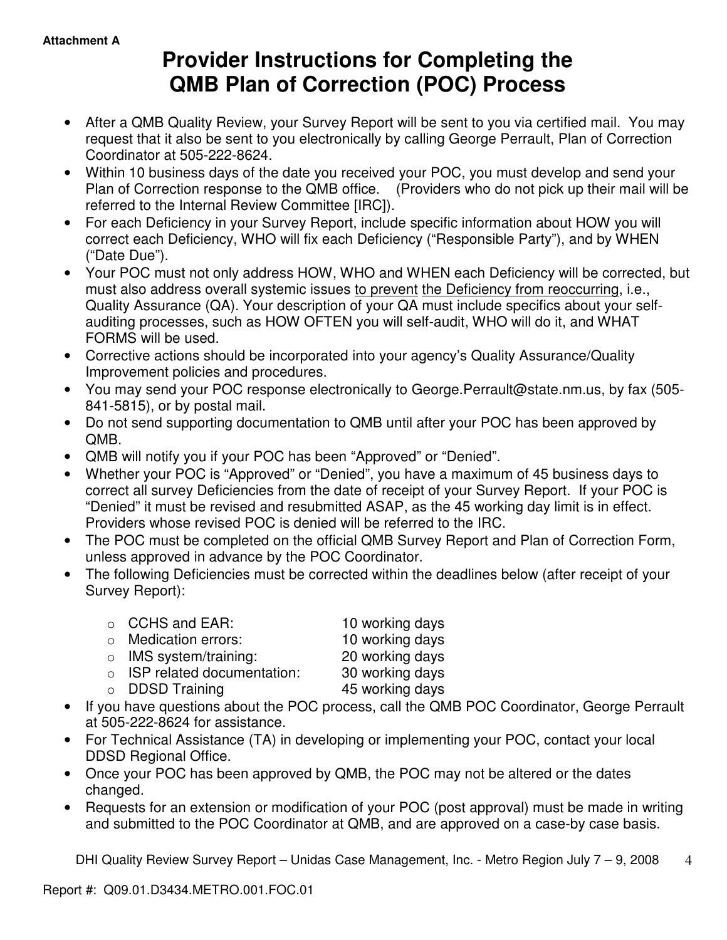# **Provider Instructions for Completing the QMB Plan of Correction (POC) Process**

- After a QMB Quality Review, your Survey Report will be sent to you via certified mail. You may request that it also be sent to you electronically by calling George Perrault, Plan of Correction Coordinator at 505-222-8624.
- Within 10 business days of the date you received your POC, you must develop and send your Plan of Correction response to the QMB office. (Providers who do not pick up their mail will be referred to the Internal Review Committee [IRC]).
- For each Deficiency in your Survey Report, include specific information about HOW you will correct each Deficiency, WHO will fix each Deficiency ("Responsible Party"), and by WHEN ("Date Due").
- Your POC must not only address HOW, WHO and WHEN each Deficiency will be corrected, but must also address overall systemic issues to prevent the Deficiency from reoccurring, i.e., Quality Assurance (QA). Your description of your QA must include specifics about your selfauditing processes, such as HOW OFTEN you will self-audit, WHO will do it, and WHAT FORMS will be used.
- Corrective actions should be incorporated into your agency's Quality Assurance/Quality Improvement policies and procedures.
- You may send your POC response electronically to George.Perrault@state.nm.us, by fax (505- 841-5815), or by postal mail.
- Do not send supporting documentation to QMB until after your POC has been approved by QMB.
- QMB will notify you if your POC has been "Approved" or "Denied".
- Whether your POC is "Approved" or "Denied", you have a maximum of 45 business days to correct all survey Deficiencies from the date of receipt of your Survey Report. If your POC is "Denied" it must be revised and resubmitted ASAP, as the 45 working day limit is in effect. Providers whose revised POC is denied will be referred to the IRC.
- The POC must be completed on the official QMB Survey Report and Plan of Correction Form, unless approved in advance by the POC Coordinator.
- The following Deficiencies must be corrected within the deadlines below (after receipt of your Survey Report):

| ○ CCHS and EAR:                    | 10 working days |
|------------------------------------|-----------------|
| $\circ$ Medication errors:         | 10 working days |
| $\circ$ IMS system/training:       | 20 working days |
| $\circ$ ISP related documentation: | 30 working days |
| $\circ$ DDSD Training              | 45 working days |
|                                    |                 |

- If you have questions about the POC process, call the QMB POC Coordinator, George Perrault at 505-222-8624 for assistance.
- For Technical Assistance (TA) in developing or implementing your POC, contact your local DDSD Regional Office.
- Once your POC has been approved by QMB, the POC may not be altered or the dates changed.
- Requests for an extension or modification of your POC (post approval) must be made in writing and submitted to the POC Coordinator at QMB, and are approved on a case-by case basis.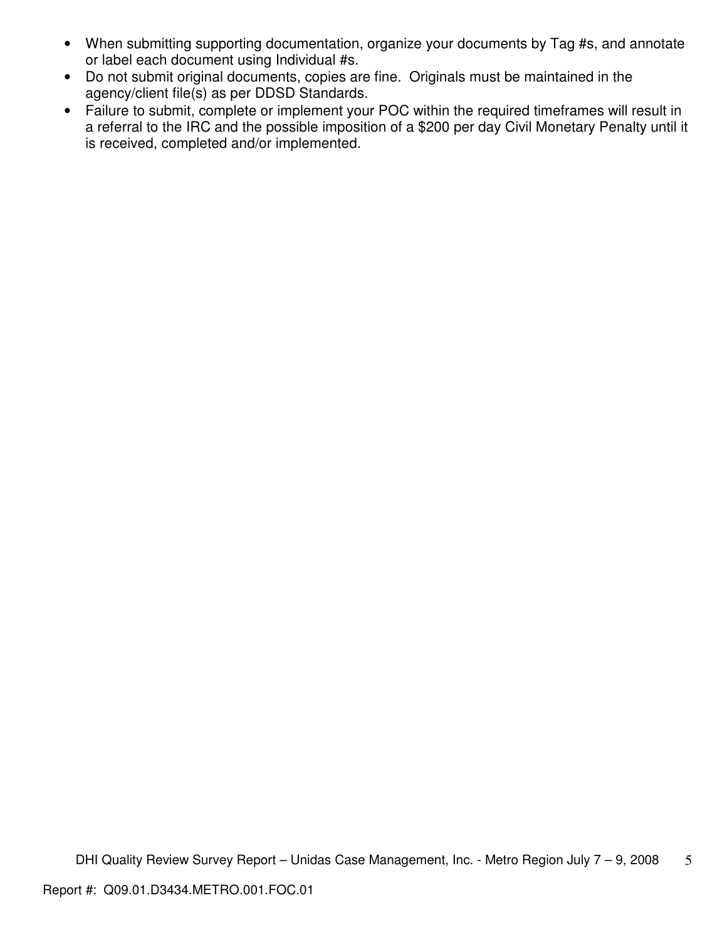- When submitting supporting documentation, organize your documents by Tag #s, and annotate or label each document using Individual #s.
- Do not submit original documents, copies are fine. Originals must be maintained in the agency/client file(s) as per DDSD Standards.
- Failure to submit, complete or implement your POC within the required timeframes will result in a referral to the IRC and the possible imposition of a \$200 per day Civil Monetary Penalty until it is received, completed and/or implemented.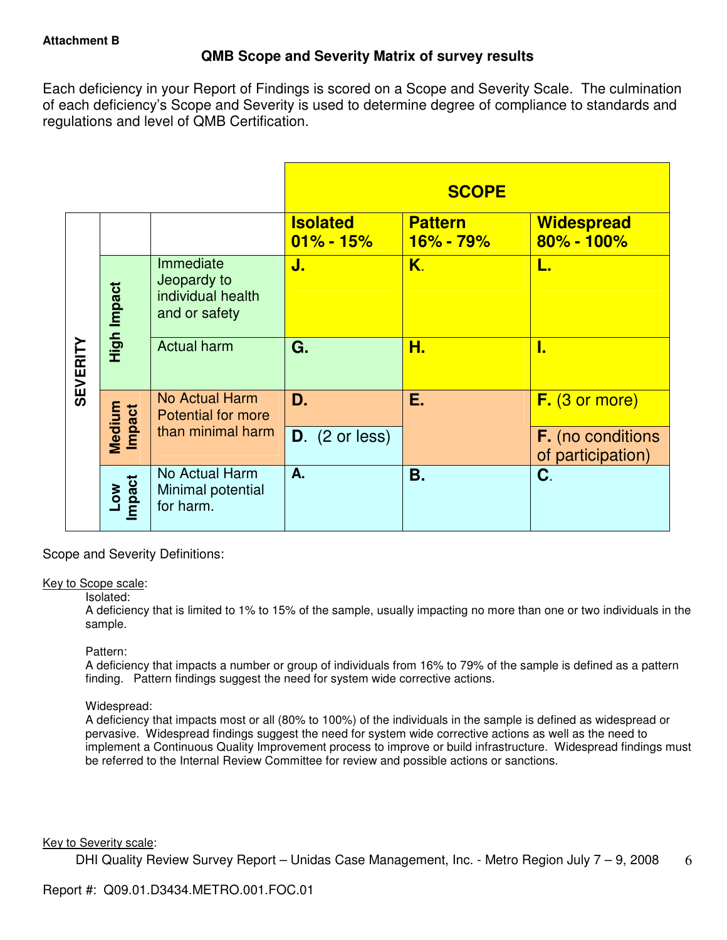## **QMB Scope and Severity Matrix of survey results**

Each deficiency in your Report of Findings is scored on a Scope and Severity Scale. The culmination of each deficiency's Scope and Severity is used to determine degree of compliance to standards and regulations and level of QMB Certification.

|                 |                  |                                                                |                                  | <b>SCOPE</b>                |                                               |
|-----------------|------------------|----------------------------------------------------------------|----------------------------------|-----------------------------|-----------------------------------------------|
|                 |                  |                                                                | <b>Isolated</b><br>$01\% - 15\%$ | <b>Pattern</b><br>16% - 79% | <b>Widespread</b><br>$80\% - 100\%$           |
|                 | High Impact      | Immediate<br>Jeopardy to<br>individual health<br>and or safety | J.                               | K.                          | L.                                            |
| <b>SEVERITY</b> |                  | <b>Actual harm</b>                                             | G.                               | Н.                          | 1.                                            |
|                 | Medium<br>Impact | <b>No Actual Harm</b><br><b>Potential for more</b>             | D.                               | Ε.                          | F. (3 or more)                                |
|                 |                  | than minimal harm                                              | $D.$ (2 or less)                 |                             | <b>F.</b> (no conditions<br>of participation) |
|                 | Low<br>Impact    | No Actual Harm<br>Minimal potential<br>for harm.               | A.                               | Β.                          | C.                                            |

Scope and Severity Definitions:

#### Key to Scope scale:

#### Isolated:

A deficiency that is limited to 1% to 15% of the sample, usually impacting no more than one or two individuals in the sample.

#### Pattern:

A deficiency that impacts a number or group of individuals from 16% to 79% of the sample is defined as a pattern finding. Pattern findings suggest the need for system wide corrective actions.

## Widespread:

A deficiency that impacts most or all (80% to 100%) of the individuals in the sample is defined as widespread or pervasive. Widespread findings suggest the need for system wide corrective actions as well as the need to implement a Continuous Quality Improvement process to improve or build infrastructure. Widespread findings must be referred to the Internal Review Committee for review and possible actions or sanctions.

#### Key to Severity scale: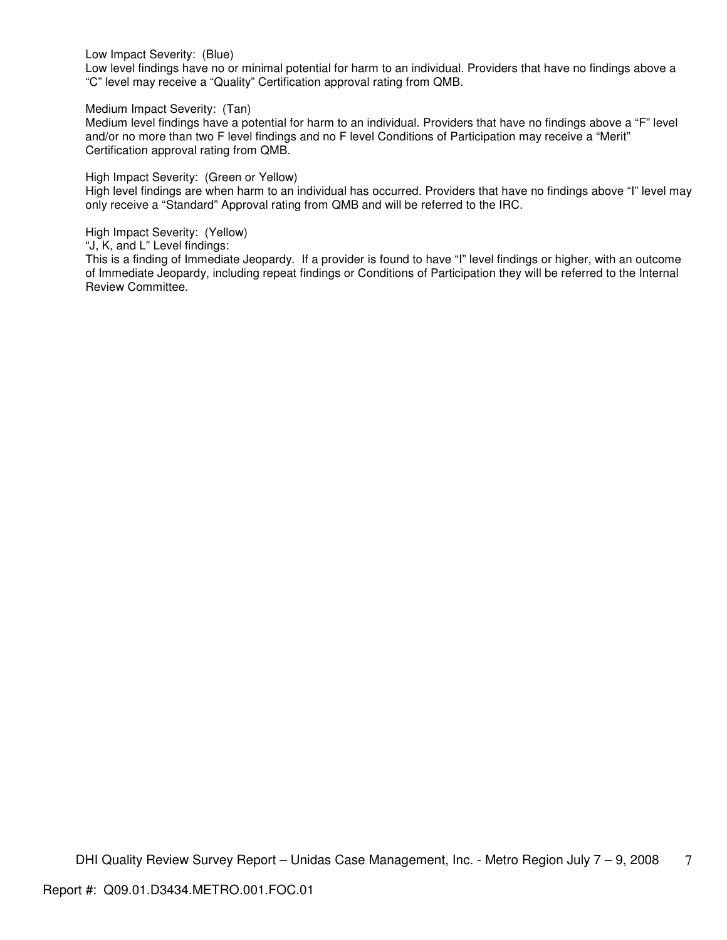Low Impact Severity: (Blue)

Low level findings have no or minimal potential for harm to an individual. Providers that have no findings above a "C" level may receive a "Quality" Certification approval rating from QMB.

Medium Impact Severity: (Tan)

Medium level findings have a potential for harm to an individual. Providers that have no findings above a "F" level and/or no more than two F level findings and no F level Conditions of Participation may receive a "Merit" Certification approval rating from QMB.

High Impact Severity: (Green or Yellow)

High level findings are when harm to an individual has occurred. Providers that have no findings above "I" level may only receive a "Standard" Approval rating from QMB and will be referred to the IRC.

High Impact Severity: (Yellow)

"J, K, and L" Level findings:

This is a finding of Immediate Jeopardy. If a provider is found to have "I" level findings or higher, with an outcome of Immediate Jeopardy, including repeat findings or Conditions of Participation they will be referred to the Internal Review Committee.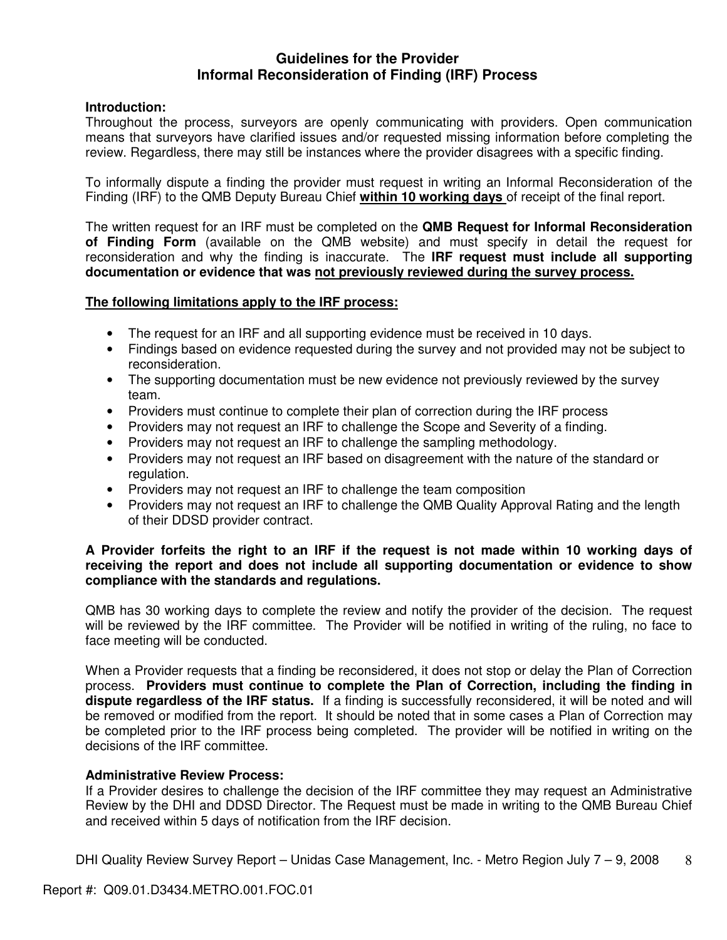## **Guidelines for the Provider Informal Reconsideration of Finding (IRF) Process**

## **Introduction:**

Throughout the process, surveyors are openly communicating with providers. Open communication means that surveyors have clarified issues and/or requested missing information before completing the review. Regardless, there may still be instances where the provider disagrees with a specific finding.

To informally dispute a finding the provider must request in writing an Informal Reconsideration of the Finding (IRF) to the QMB Deputy Bureau Chief **within 10 working days** of receipt of the final report.

The written request for an IRF must be completed on the **QMB Request for Informal Reconsideration of Finding Form** (available on the QMB website) and must specify in detail the request for reconsideration and why the finding is inaccurate. The **IRF request must include all supporting documentation or evidence that was not previously reviewed during the survey process.** 

## **The following limitations apply to the IRF process:**

- The request for an IRF and all supporting evidence must be received in 10 days.
- Findings based on evidence requested during the survey and not provided may not be subject to reconsideration.
- The supporting documentation must be new evidence not previously reviewed by the survey team.
- Providers must continue to complete their plan of correction during the IRF process
- Providers may not request an IRF to challenge the Scope and Severity of a finding.
- Providers may not request an IRF to challenge the sampling methodology.
- Providers may not request an IRF based on disagreement with the nature of the standard or regulation.
- Providers may not request an IRF to challenge the team composition
- Providers may not request an IRF to challenge the QMB Quality Approval Rating and the length of their DDSD provider contract.

## **A Provider forfeits the right to an IRF if the request is not made within 10 working days of receiving the report and does not include all supporting documentation or evidence to show compliance with the standards and regulations.**

QMB has 30 working days to complete the review and notify the provider of the decision. The request will be reviewed by the IRF committee. The Provider will be notified in writing of the ruling, no face to face meeting will be conducted.

When a Provider requests that a finding be reconsidered, it does not stop or delay the Plan of Correction process. **Providers must continue to complete the Plan of Correction, including the finding in dispute regardless of the IRF status.** If a finding is successfully reconsidered, it will be noted and will be removed or modified from the report. It should be noted that in some cases a Plan of Correction may be completed prior to the IRF process being completed. The provider will be notified in writing on the decisions of the IRF committee.

## **Administrative Review Process:**

If a Provider desires to challenge the decision of the IRF committee they may request an Administrative Review by the DHI and DDSD Director. The Request must be made in writing to the QMB Bureau Chief and received within 5 days of notification from the IRF decision.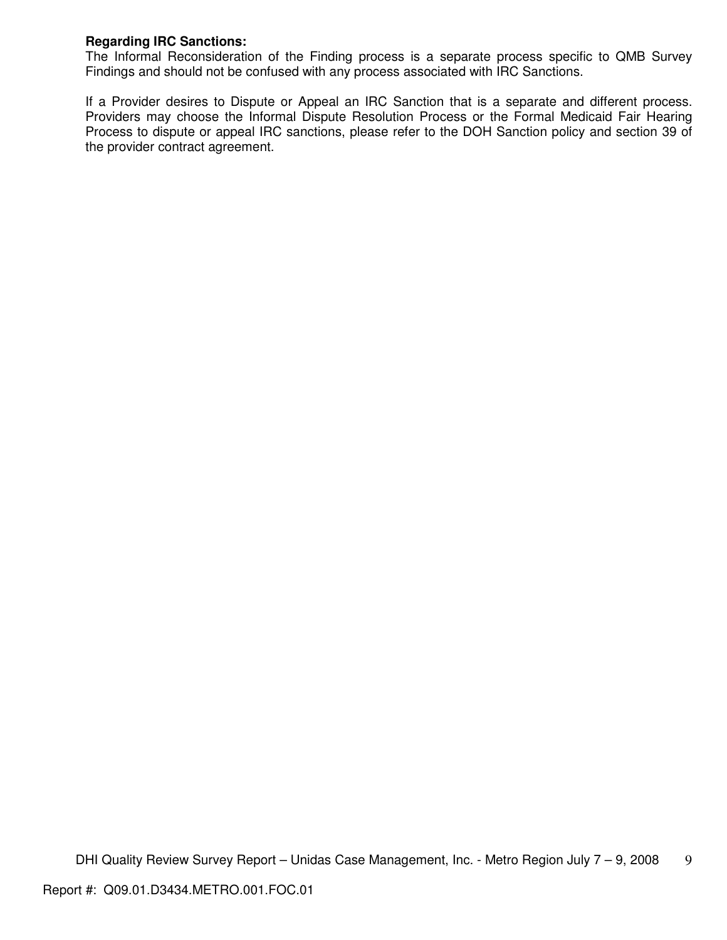## **Regarding IRC Sanctions:**

The Informal Reconsideration of the Finding process is a separate process specific to QMB Survey Findings and should not be confused with any process associated with IRC Sanctions.

If a Provider desires to Dispute or Appeal an IRC Sanction that is a separate and different process. Providers may choose the Informal Dispute Resolution Process or the Formal Medicaid Fair Hearing Process to dispute or appeal IRC sanctions, please refer to the DOH Sanction policy and section 39 of the provider contract agreement.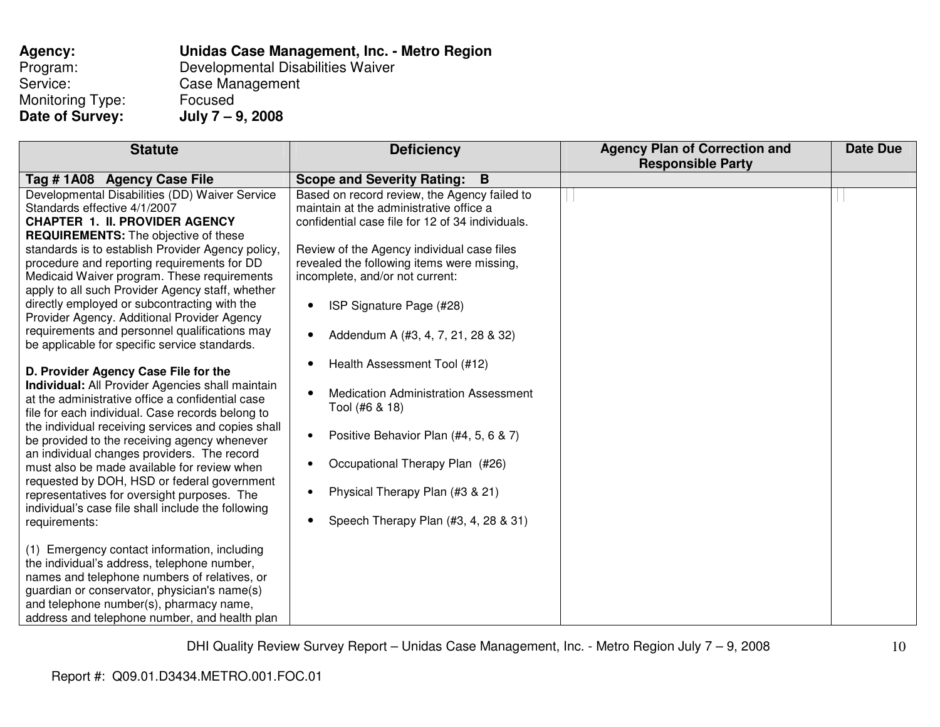| Agency:                 | Unidas Case Management, Inc. - Metro Region |
|-------------------------|---------------------------------------------|
| Program:                | Developmental Disabilities Waiver           |
| Service:                | Case Management                             |
| <b>Monitoring Type:</b> | Focused                                     |
| Date of Survey:         | July $7 - 9$ , 2008                         |

| <b>Statute</b>                                                                                                                                                                                                                                                                                                                                                                                                                                                                                                                                                                                                             | <b>Deficiency</b>                                                                                                                                                                                                                                                                                                                                                                                      | <b>Agency Plan of Correction and</b><br><b>Responsible Party</b> | <b>Date Due</b> |
|----------------------------------------------------------------------------------------------------------------------------------------------------------------------------------------------------------------------------------------------------------------------------------------------------------------------------------------------------------------------------------------------------------------------------------------------------------------------------------------------------------------------------------------------------------------------------------------------------------------------------|--------------------------------------------------------------------------------------------------------------------------------------------------------------------------------------------------------------------------------------------------------------------------------------------------------------------------------------------------------------------------------------------------------|------------------------------------------------------------------|-----------------|
|                                                                                                                                                                                                                                                                                                                                                                                                                                                                                                                                                                                                                            |                                                                                                                                                                                                                                                                                                                                                                                                        |                                                                  |                 |
| Tag #1A08 Agency Case File<br>Developmental Disabilities (DD) Waiver Service<br>Standards effective 4/1/2007<br><b>CHAPTER 1. II. PROVIDER AGENCY</b><br><b>REQUIREMENTS:</b> The objective of these<br>standards is to establish Provider Agency policy,<br>procedure and reporting requirements for DD<br>Medicaid Waiver program. These requirements<br>apply to all such Provider Agency staff, whether<br>directly employed or subcontracting with the<br>Provider Agency. Additional Provider Agency<br>requirements and personnel qualifications may                                                                | Scope and Severity Rating: B<br>Based on record review, the Agency failed to<br>maintain at the administrative office a<br>confidential case file for 12 of 34 individuals.<br>Review of the Agency individual case files<br>revealed the following items were missing,<br>incomplete, and/or not current:<br>ISP Signature Page (#28)<br>$\bullet$<br>Addendum A (#3, 4, 7, 21, 28 & 32)<br>$\bullet$ |                                                                  |                 |
| be applicable for specific service standards.<br>D. Provider Agency Case File for the<br>Individual: All Provider Agencies shall maintain<br>at the administrative office a confidential case<br>file for each individual. Case records belong to<br>the individual receiving services and copies shall<br>be provided to the receiving agency whenever<br>an individual changes providers. The record<br>must also be made available for review when<br>requested by DOH, HSD or federal government<br>representatives for oversight purposes. The<br>individual's case file shall include the following<br>requirements: | Health Assessment Tool (#12)<br>$\bullet$<br><b>Medication Administration Assessment</b><br>$\bullet$<br>Tool (#6 & 18)<br>Positive Behavior Plan (#4, 5, 6 & 7)<br>$\bullet$<br>Occupational Therapy Plan (#26)<br>Physical Therapy Plan (#3 & 21)<br>$\bullet$<br>Speech Therapy Plan (#3, 4, 28 & 31)<br>$\bullet$                                                                                  |                                                                  |                 |
| (1) Emergency contact information, including<br>the individual's address, telephone number,<br>names and telephone numbers of relatives, or<br>guardian or conservator, physician's name(s)<br>and telephone number(s), pharmacy name,<br>address and telephone number, and health plan                                                                                                                                                                                                                                                                                                                                    |                                                                                                                                                                                                                                                                                                                                                                                                        |                                                                  |                 |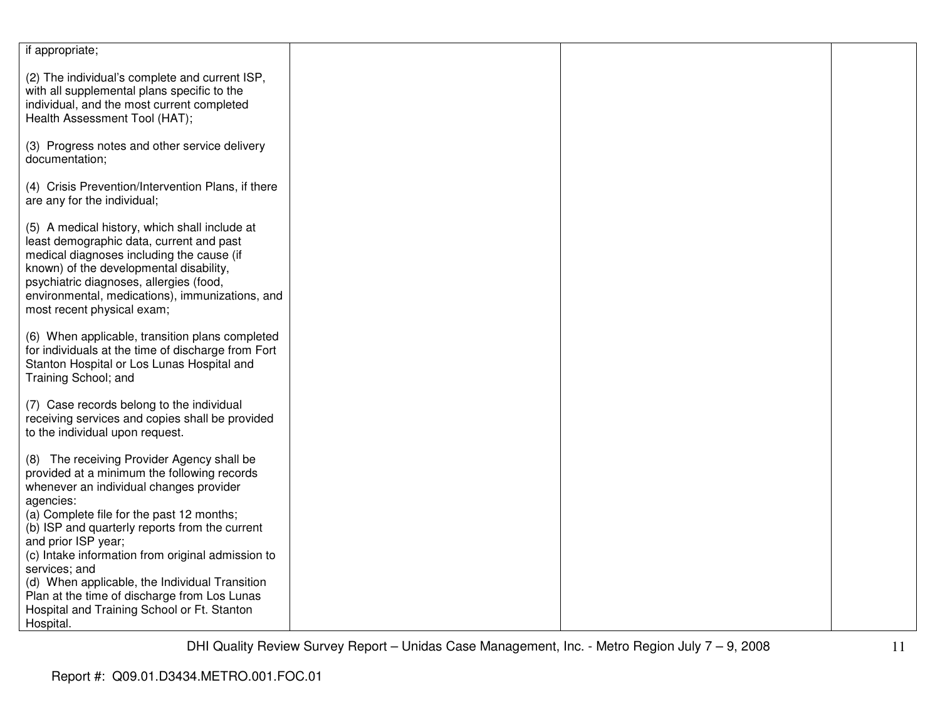| if appropriate;                                                                                                                                                                                                                                                                                                                                                                                                                                                                                             |  |  |
|-------------------------------------------------------------------------------------------------------------------------------------------------------------------------------------------------------------------------------------------------------------------------------------------------------------------------------------------------------------------------------------------------------------------------------------------------------------------------------------------------------------|--|--|
| (2) The individual's complete and current ISP,<br>with all supplemental plans specific to the<br>individual, and the most current completed<br>Health Assessment Tool (HAT);                                                                                                                                                                                                                                                                                                                                |  |  |
| (3) Progress notes and other service delivery<br>documentation;                                                                                                                                                                                                                                                                                                                                                                                                                                             |  |  |
| (4) Crisis Prevention/Intervention Plans, if there<br>are any for the individual;                                                                                                                                                                                                                                                                                                                                                                                                                           |  |  |
| (5) A medical history, which shall include at<br>least demographic data, current and past<br>medical diagnoses including the cause (if<br>known) of the developmental disability,<br>psychiatric diagnoses, allergies (food,<br>environmental, medications), immunizations, and<br>most recent physical exam;                                                                                                                                                                                               |  |  |
| (6) When applicable, transition plans completed<br>for individuals at the time of discharge from Fort<br>Stanton Hospital or Los Lunas Hospital and<br>Training School; and                                                                                                                                                                                                                                                                                                                                 |  |  |
| (7) Case records belong to the individual<br>receiving services and copies shall be provided<br>to the individual upon request.                                                                                                                                                                                                                                                                                                                                                                             |  |  |
| (8) The receiving Provider Agency shall be<br>provided at a minimum the following records<br>whenever an individual changes provider<br>agencies:<br>(a) Complete file for the past 12 months;<br>(b) ISP and quarterly reports from the current<br>and prior ISP year;<br>(c) Intake information from original admission to<br>services; and<br>(d) When applicable, the Individual Transition<br>Plan at the time of discharge from Los Lunas<br>Hospital and Training School or Ft. Stanton<br>Hospital. |  |  |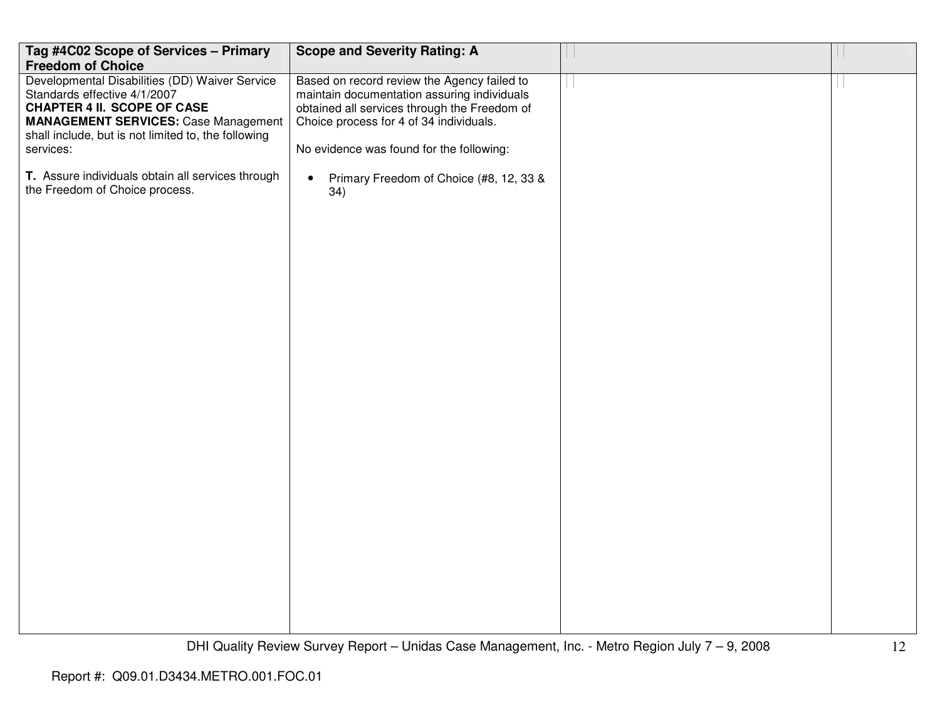| Tag #4C02 Scope of Services - Primary                                                                                                                                                                                                   | <b>Scope and Severity Rating: A</b>                                                                                                                                                                                               |  |
|-----------------------------------------------------------------------------------------------------------------------------------------------------------------------------------------------------------------------------------------|-----------------------------------------------------------------------------------------------------------------------------------------------------------------------------------------------------------------------------------|--|
| <b>Freedom of Choice</b>                                                                                                                                                                                                                |                                                                                                                                                                                                                                   |  |
| Developmental Disabilities (DD) Waiver Service<br>Standards effective 4/1/2007<br><b>CHAPTER 4 II. SCOPE OF CASE</b><br><b>MANAGEMENT SERVICES: Case Management</b><br>shall include, but is not limited to, the following<br>services: | Based on record review the Agency failed to<br>maintain documentation assuring individuals<br>obtained all services through the Freedom of<br>Choice process for 4 of 34 individuals.<br>No evidence was found for the following: |  |
| T. Assure individuals obtain all services through<br>the Freedom of Choice process.                                                                                                                                                     | Primary Freedom of Choice (#8, 12, 33 &<br>$\bullet$<br>34)                                                                                                                                                                       |  |
|                                                                                                                                                                                                                                         |                                                                                                                                                                                                                                   |  |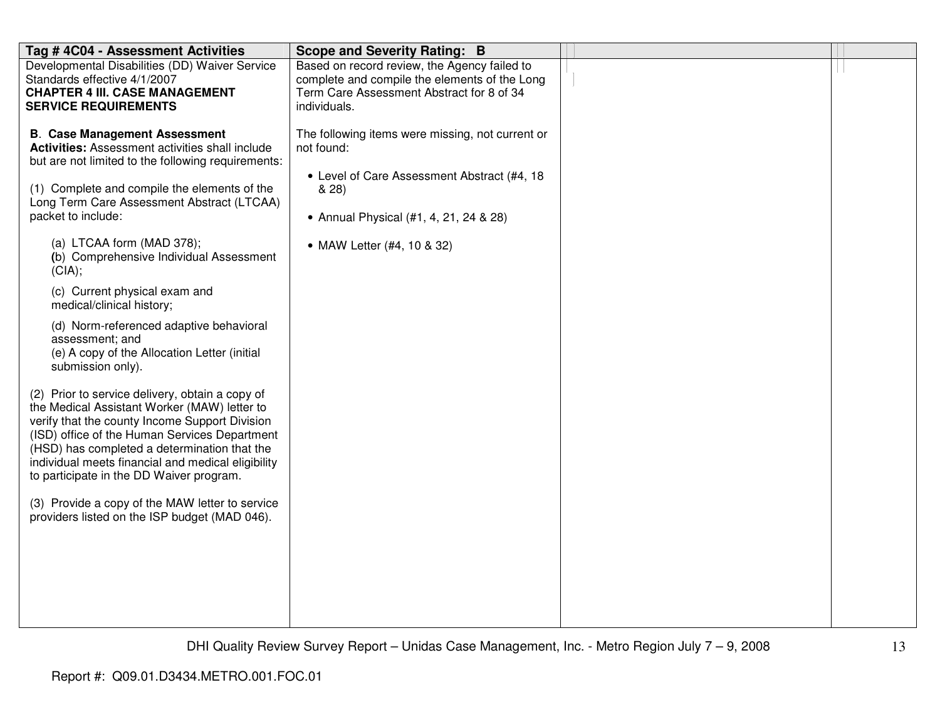| Tag #4C04 - Assessment Activities                                                                                                                                                                                                                                                                                                                                                                                                                                                                                                                                                                                                                                                                                                                                                                                                                                                                                                                                                                                       | <b>Scope and Severity Rating: B</b>                                                                                                                                                            |  |
|-------------------------------------------------------------------------------------------------------------------------------------------------------------------------------------------------------------------------------------------------------------------------------------------------------------------------------------------------------------------------------------------------------------------------------------------------------------------------------------------------------------------------------------------------------------------------------------------------------------------------------------------------------------------------------------------------------------------------------------------------------------------------------------------------------------------------------------------------------------------------------------------------------------------------------------------------------------------------------------------------------------------------|------------------------------------------------------------------------------------------------------------------------------------------------------------------------------------------------|--|
| Developmental Disabilities (DD) Waiver Service<br>Standards effective 4/1/2007<br><b>CHAPTER 4 III. CASE MANAGEMENT</b><br><b>SERVICE REQUIREMENTS</b>                                                                                                                                                                                                                                                                                                                                                                                                                                                                                                                                                                                                                                                                                                                                                                                                                                                                  | Based on record review, the Agency failed to<br>complete and compile the elements of the Long<br>Term Care Assessment Abstract for 8 of 34<br>individuals.                                     |  |
| <b>B. Case Management Assessment</b><br><b>Activities:</b> Assessment activities shall include<br>but are not limited to the following requirements:<br>(1) Complete and compile the elements of the<br>Long Term Care Assessment Abstract (LTCAA)<br>packet to include:<br>(a) LTCAA form (MAD 378);<br>(b) Comprehensive Individual Assessment<br>(CIA);<br>(c) Current physical exam and<br>medical/clinical history;<br>(d) Norm-referenced adaptive behavioral<br>assessment; and<br>(e) A copy of the Allocation Letter (initial<br>submission only).<br>(2) Prior to service delivery, obtain a copy of<br>the Medical Assistant Worker (MAW) letter to<br>verify that the county Income Support Division<br>(ISD) office of the Human Services Department<br>(HSD) has completed a determination that the<br>individual meets financial and medical eligibility<br>to participate in the DD Waiver program.<br>(3) Provide a copy of the MAW letter to service<br>providers listed on the ISP budget (MAD 046). | The following items were missing, not current or<br>not found:<br>• Level of Care Assessment Abstract (#4, 18<br>& 28)<br>• Annual Physical (#1, 4, 21, 24 & 28)<br>• MAW Letter (#4, 10 & 32) |  |
|                                                                                                                                                                                                                                                                                                                                                                                                                                                                                                                                                                                                                                                                                                                                                                                                                                                                                                                                                                                                                         |                                                                                                                                                                                                |  |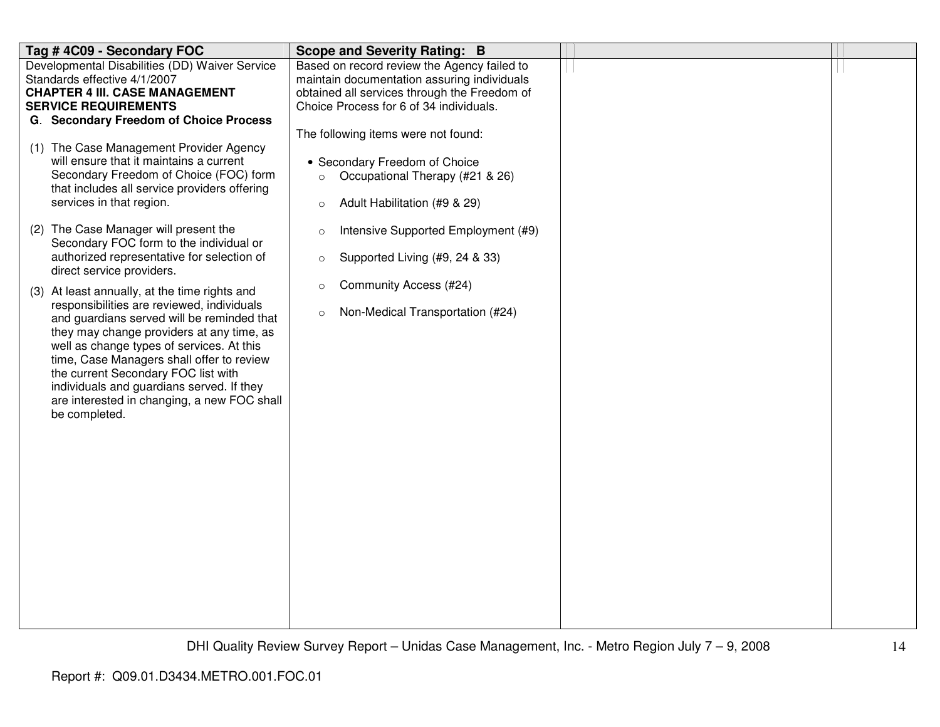| Tag #4C09 - Secondary FOC                                                                                                                                                                                                                                                                                                                                                                                                                                                                                                                                                                                                                                                                                                                                                                                                                                                                                                                                                                                           | <b>Scope and Severity Rating: B</b>                                                                                                                                                                                                                                                                                                                                                                                                                                                                                                       |  |
|---------------------------------------------------------------------------------------------------------------------------------------------------------------------------------------------------------------------------------------------------------------------------------------------------------------------------------------------------------------------------------------------------------------------------------------------------------------------------------------------------------------------------------------------------------------------------------------------------------------------------------------------------------------------------------------------------------------------------------------------------------------------------------------------------------------------------------------------------------------------------------------------------------------------------------------------------------------------------------------------------------------------|-------------------------------------------------------------------------------------------------------------------------------------------------------------------------------------------------------------------------------------------------------------------------------------------------------------------------------------------------------------------------------------------------------------------------------------------------------------------------------------------------------------------------------------------|--|
| Developmental Disabilities (DD) Waiver Service<br>Standards effective 4/1/2007<br><b>CHAPTER 4 III. CASE MANAGEMENT</b><br><b>SERVICE REQUIREMENTS</b><br>G. Secondary Freedom of Choice Process<br>(1) The Case Management Provider Agency<br>will ensure that it maintains a current<br>Secondary Freedom of Choice (FOC) form<br>that includes all service providers offering<br>services in that region.<br>(2) The Case Manager will present the<br>Secondary FOC form to the individual or<br>authorized representative for selection of<br>direct service providers.<br>(3) At least annually, at the time rights and<br>responsibilities are reviewed, individuals<br>and guardians served will be reminded that<br>they may change providers at any time, as<br>well as change types of services. At this<br>time, Case Managers shall offer to review<br>the current Secondary FOC list with<br>individuals and guardians served. If they<br>are interested in changing, a new FOC shall<br>be completed. | Based on record review the Agency failed to<br>maintain documentation assuring individuals<br>obtained all services through the Freedom of<br>Choice Process for 6 of 34 individuals.<br>The following items were not found:<br>• Secondary Freedom of Choice<br>Occupational Therapy (#21 & 26)<br>$\circ$<br>Adult Habilitation (#9 & 29)<br>$\circ$<br>Intensive Supported Employment (#9)<br>$\circ$<br>Supported Living (#9, 24 & 33)<br>$\circ$<br>Community Access (#24)<br>$\circ$<br>Non-Medical Transportation (#24)<br>$\circ$ |  |
|                                                                                                                                                                                                                                                                                                                                                                                                                                                                                                                                                                                                                                                                                                                                                                                                                                                                                                                                                                                                                     |                                                                                                                                                                                                                                                                                                                                                                                                                                                                                                                                           |  |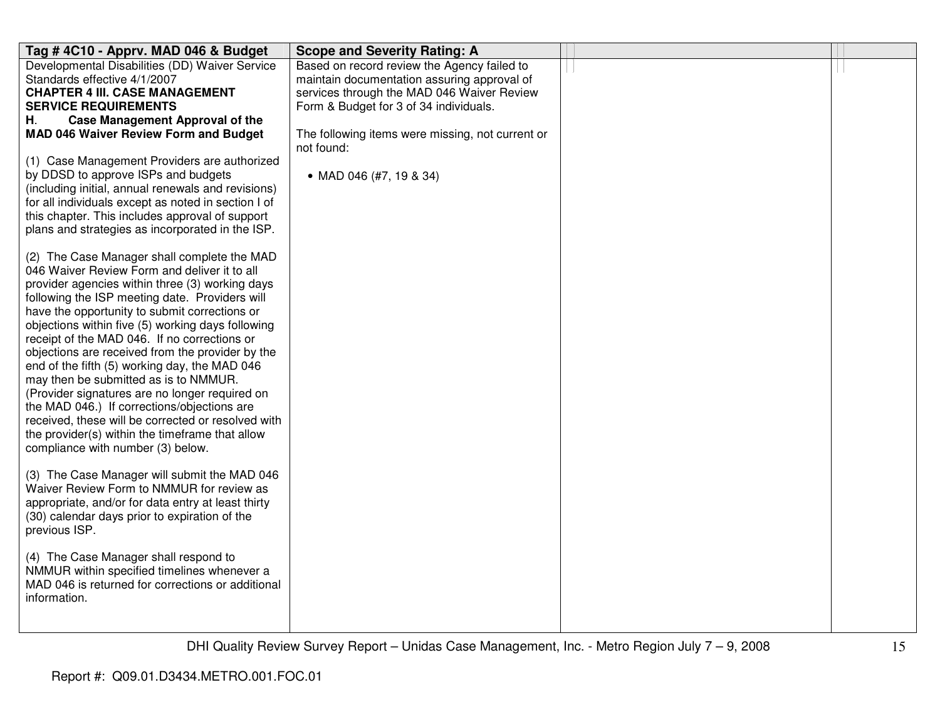| Tag #4C10 - Apprv. MAD 046 & Budget                                                                                                                                                                                                                                                                                                                                                                                                                                                                                                                                                                                                                                                                                                                                                                                                                                                                                                                                                                                                                                                                                                                                                                                                                                                                                                                                                                                                                                                                                                           | <b>Scope and Severity Rating: A</b>                                                                                                                                                                                                                                             |  |
|-----------------------------------------------------------------------------------------------------------------------------------------------------------------------------------------------------------------------------------------------------------------------------------------------------------------------------------------------------------------------------------------------------------------------------------------------------------------------------------------------------------------------------------------------------------------------------------------------------------------------------------------------------------------------------------------------------------------------------------------------------------------------------------------------------------------------------------------------------------------------------------------------------------------------------------------------------------------------------------------------------------------------------------------------------------------------------------------------------------------------------------------------------------------------------------------------------------------------------------------------------------------------------------------------------------------------------------------------------------------------------------------------------------------------------------------------------------------------------------------------------------------------------------------------|---------------------------------------------------------------------------------------------------------------------------------------------------------------------------------------------------------------------------------------------------------------------------------|--|
| Developmental Disabilities (DD) Waiver Service<br>Standards effective 4/1/2007<br><b>CHAPTER 4 III. CASE MANAGEMENT</b><br><b>SERVICE REQUIREMENTS</b><br><b>Case Management Approval of the</b><br>Н.<br><b>MAD 046 Waiver Review Form and Budget</b><br>(1) Case Management Providers are authorized<br>by DDSD to approve ISPs and budgets<br>(including initial, annual renewals and revisions)<br>for all individuals except as noted in section I of<br>this chapter. This includes approval of support<br>plans and strategies as incorporated in the ISP.<br>(2) The Case Manager shall complete the MAD<br>046 Waiver Review Form and deliver it to all<br>provider agencies within three (3) working days<br>following the ISP meeting date. Providers will<br>have the opportunity to submit corrections or<br>objections within five (5) working days following<br>receipt of the MAD 046. If no corrections or<br>objections are received from the provider by the<br>end of the fifth (5) working day, the MAD 046<br>may then be submitted as is to NMMUR.<br>(Provider signatures are no longer required on<br>the MAD 046.) If corrections/objections are<br>received, these will be corrected or resolved with<br>the provider(s) within the timeframe that allow<br>compliance with number (3) below.<br>(3) The Case Manager will submit the MAD 046<br>Waiver Review Form to NMMUR for review as<br>appropriate, and/or for data entry at least thirty<br>(30) calendar days prior to expiration of the<br>previous ISP. | Based on record review the Agency failed to<br>maintain documentation assuring approval of<br>services through the MAD 046 Waiver Review<br>Form & Budget for 3 of 34 individuals.<br>The following items were missing, not current or<br>not found:<br>• MAD 046 (#7, 19 & 34) |  |
| (4) The Case Manager shall respond to<br>NMMUR within specified timelines whenever a<br>MAD 046 is returned for corrections or additional<br>information.                                                                                                                                                                                                                                                                                                                                                                                                                                                                                                                                                                                                                                                                                                                                                                                                                                                                                                                                                                                                                                                                                                                                                                                                                                                                                                                                                                                     |                                                                                                                                                                                                                                                                                 |  |